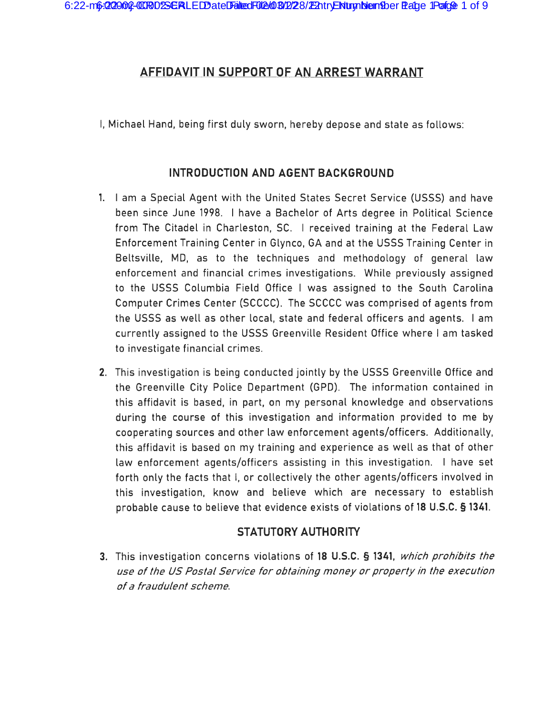# **AFFIDAVIT IN SUPPORT OF AN ARREST WARRANT**

I, Michael Hand, being first duly sworn, hereby depose and state as follows:

## **INTRODUCTION AND AGENT BACKGROUND**

- **1.** I am a Special Agent with the United States Secret Service (USSS) and have been since June 1998. I have a Bachelor of Arts degree in Political Science from The Citadel in Charleston, SC. I received training at the Federal Law Enforcement Training Center in Glynco, GA and at the USSS Training Center in Beltsville, MD, as to the techniques and methodology of general law enforcement and financial crimes investigations. While previously assigned to the USSS Columbia Field Office I was assigned to the South Carolina Computer Crimes Center (SCCCC). The SCCCC was comprised of agents from the USSS as well as other local, state and federal officers and agents. I am currently assigned to the USSS Greenville Resident Office where I am tasked to investigate financial crimes.
- **2.** This investigation is being conducted jointly by the USSS Greenville Office and the Greenville City Police Department (GPO). The information contained in this affidavit is based, in part, on my personal knowledge and observations during the course of this investigation and information provided to me by cooperating sources and other law enforcement agents/officers. Additionally, this affidavit is based on my training and experience as well as that of other law enforcement agents/officers assisting in this investigation. I have set forth only the facts that I, or collectively the other agents/officers involved in this investigation, know and believe which are necessary to establish probable cause to believe that evidence exists of violations of **18 U.S.C. § 1341.**

### **STATUTORY AUTHORITY**

**3.** This investigation concerns violations of **18 U.S.C. § 1341,** which prohibits the use of the US Postal Service for obtaining money or property in the execution of a fraudulent scheme.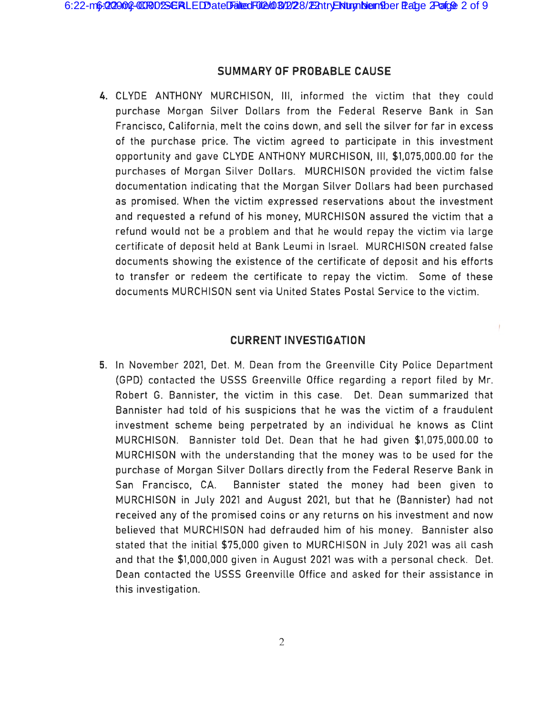#### **SUMMARY OF PROBABLE CAUSE**

**4.** CLYDE ANTHONY MURCHISON, Ill, informed the victim that they could purchase Morgan Silver Dollars from the Federal Reserve Bank in San Francisco, California, melt the coins down, and sell the silver for far in excess of the purchase price. The victim agreed to participate in this investment opportunity and gave CLYDE ANTHONY MURCHISON, Ill, \$1,075,000.00 for the purchases of Morgan Silver Dollars. MURCHISON provided the victim false documentation indicating that the Morgan Silver Dollars had been purchased as promised. When the victim expressed reservations about the investment and requested a refund of his money, MURCHISON assured the victim that a refund would not be a problem and that he would repay the victim via large certificate of deposit held at Bank Leumi in Israel. MURCHISON created false documents showing the existence of the certificate of deposit and his efforts to transfer or redeem the certificate to repay the victim. Some of these documents MURCHISON sent via United States Postal Service to the victim.

#### **CURRENT INVESTIGATION**

 $\mathcal{L}_{\mathcal{A}}^{\mathcal{A}}(\mathcal{A})=\mathcal{L}_{\mathcal{A}}^{\mathcal{A}}(\mathcal{A})\otimes\mathcal{L}_{\mathcal{A}}^{\mathcal{A}}(\mathcal{A})$ 

**5.** In November 2021, Det. M. Dean from the Greenville City Police Department (GPO) contacted the USSS Greenville Office regarding a report filed by Mr. Robert G. Bannister, the victim in this case. Det. Dean summarized that Bannister had told of his suspicions that he was the victim of a fraudulent investment scheme being perpetrated by an individual he knows as Clint MURCHISON. Bannister told Det. Dean that he had given \$1,075,000.00 to MURCHISON with the understanding that the money was to be used for the purchase of Morgan Silver Dollars directly from the Federal Reserve Bank in San Francisco, CA. Bannister stated the money had been given to MURCHISON in July 2021 and August 2021, but that he (Bannister) had not received any of the promised coins or any returns on his investment and now believed that MURCHISON had defrauded him of his money. Bannister also stated that the initial \$75,000 given to MURCHISON in July 2021 was all cash and that the \$1,000,000 given in August 2021 was with a personal check. Det. Dean contacted the USSS Greenville Office and asked for their assistance in this investigation.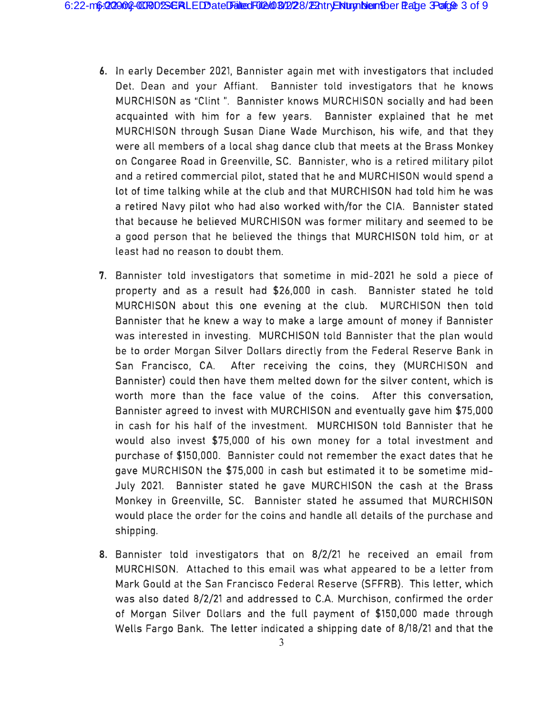- 6. In early December 2021, Bannister again met with investigators that included Det. Dean and your Affiant. Bannister told investigators that he knows MURCHISON as "Clint ". Bannister knows MURCHISON socially and had been acquainted with him for a few years. Bannister explained that he met MURCHISON through Susan Diane Wade Murchison, his wife, and that they were all members of a local shag dance club that meets at the Brass Monkey on Congaree Road in Greenville, SC. Bannister, who is a retired military pilot and a retired commercial pilot, stated that he and MURCHISON would spend a lot of time talking while at the club and that MURCHISON had told him he was a retired Navy pilot who had also worked with/for the CIA. Bannister stated that because he believed MURCHISON was former military and seemed to be a good person that he believed the things that MURCHISON told him, or at least had no reason to doubt them.
- 7. Bannister told investigators that sometime in mid-2021 he sold a piece of property and as a result had \$26,000 in cash. Bannister stated he told MURCHISON about this one evening at the club. MURCHISON then told Bannister that he knew a way to make a large amount of money if Bannister was interested in investing. MURCHISON told Bannister that the plan would be to order Morgan Silver Dollars directly from the Federal Reserve Bank in San Francisco, CA. After receiving the coins, they (MURCHISON and Bannister) could then have them melted down for the silver content, which is worth more than the face value of the coins. After this conversation, Bannister agreed to invest with MURCHISON and eventually gave him \$75,000 in cash for his half of the investment. MURCHISON told Bannister that he would also invest \$75,000 of his own money for a total investment and purchase of \$150 ,000. Bannister could not remember the exact dates that he gave MURCHISON the \$75,000 in cash but estimated it to be sometime mid - July 2021. Bannister stated he gave MURCHISON the cash at the Brass Monkey in Greenville, SC. Bannister stated he assumed that MURCHISON would place the order for the coins and handle all details of the purchase and shipping.
- 8. Bannister told investigators that on 8/2/21 he received an email from MURCHISON. Attached to this email was what appeared to be a letter from Mark Gould at the San Francisco Federal Reserve (SFFRB). This letter, which was also dated 8/2/21 and addressed to C.A. Murchison, confirmed the order of Morgan Silver Dollars and the full payment of \$150,000 made through Wells Fargo Bank. The letter indicated a shipping date of 8/18/21 and that the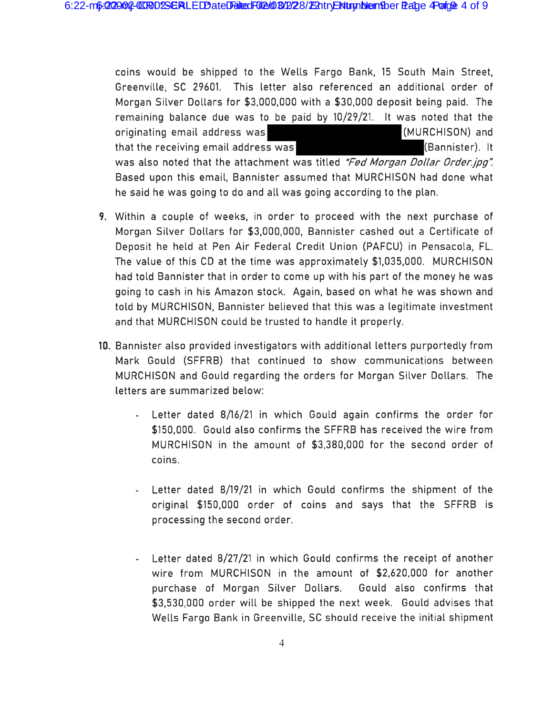coins would be shipped to the Wells Fargo Bank, 15 South Main Street, Greenville, SC 29601. This letter also referenced an additional order of Morgan Silver Dollars for \$3,000,000 with a \$30,000 deposit being paid. The remaining balance due was to be paid by 10/29/21. It was noted that the originating email address was (MURCHISON) and that the receiving email address was **Example 20** (Bannister). It was also noted that the attachment was titled "Fed Morgan Dollar Order.jpg". Based upon this email, Bannister assumed that MURCHISON had done what he said he was going to do and all was going according to the plan.

- **9.** Within a couple of weeks, in order to proceed with the next purchase of Morgan Silver Dollars for \$3,000,000, Bannister cashed out a Certificate of Deposit he held at Pen Air Federal Credit Union (PAFCU) in Pensacola, FL. The value of this CD at the time was approximately \$1,035,000. MURCHISON had told Bannister that in order to come up with his part of the money he was going to cash in his Amazon stock. Again, based on what he was shown and told by MURCHISON, Bannister believed that this was a legitimate investment and that MURCHISON could be trusted to handle it properly.
- **10.** Bannister also provided investigators with additional letters purportedly from Mark Gould (SFFRB) that continued to show communications between MURCHISON and Gould regarding the orders for Morgan Silver Dollars. The letters are summarized below:
	- Letter dated 8/16/21 in which Gould again confirms the order for \$150,000. Gould also confirms the SFFRB has received the wire from MURCHISON in the amount of \$3,380,000 for the second order of coins.
	- Letter dated 8/19/21 in which Gould confirms the shipment of the original \$150,000 order of coins and says that the SFFRB is processing the second order.
	- Letter dated 8/27/21 in which Gould confirms the receipt of another  $\overline{\phantom{a}}$ wire from MURCHISON in the amount of \$2,620,000 for another purchase of Morgan Silver Dollars. Gould also confirms that \$3,530,000 order will be shipped the next week. Gould advises that Wells Fargo Bank in Greenville, SC should receive the initial shipment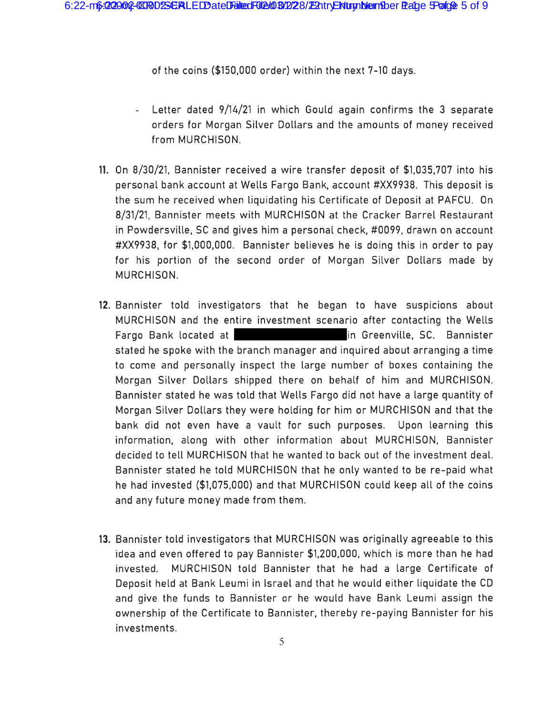of the coins (\$150,000 order) within the next 7-10 days.

- Letter dated 9/14/21 in which Gould again confirms the 3 separate orders for Morgan Silver Dollars and the amounts of money received from MURCHISON.
- **11.** On 8/30/21, Bannister received a wire transfer deposit of \$1,035,707 into his personal bank account at Wells Fargo Bank, account #XX9938. This deposit is the sum he received when liquidating his Certificate of Deposit at PAFCU. On 8/31/21, Bannister meets with MURCHISON at the Cracker Barrel Restaurant in Powdersville, SC and gives him a personal check, #0099, drawn on account #XX9938, for \$1,000,000. Bannister believes he is doing this in order to pay for his portion of the second order of Morgan Silver Dollars made by MURCHISON.
- **12.** Bannister told investigators that he began to have suspicions about MURCHISON and the entire investment scenario after contacting the Wells Fargo Bank located at in Greenville, SC. Bannister stated he spoke with the branch manager and inquired about arranging a time to come and personally inspect the large number of boxes containing the Morgan Silver Dollars shipped there on behalf of him and MURCHISON. Bannister stated he was told that Wells Fargo did not have a large quantity of Morgan Silver Dollars they were holding for him or MURCHISON and that the bank did not even have a vault for such purposes. Upon learning this information, along with other information about MURCHISON, Bannister decided to tell MURCHISON that he wanted to back out of the investment deal. Bannister stated he told MURCHISON that he only wanted to be re-paid what he had invested (\$1,075,000) and that MURCHISON could keep all of the coins and any future money made from them.
- **13.** Bannister told investigators that MURCHISON was originally agreeable to this idea and even offered to pay Bannister \$1,200 ,000, which is more than he had invested. MURCHISON told Bannister that he had a large Certificate of Deposit held at Bank Leumi in Israel and that he would either liquidate the CD and give the funds to Bannister or he would have Bank Leumi assign the ownership of the Certificate to Bannister, thereby re-paying Bannister for his investments.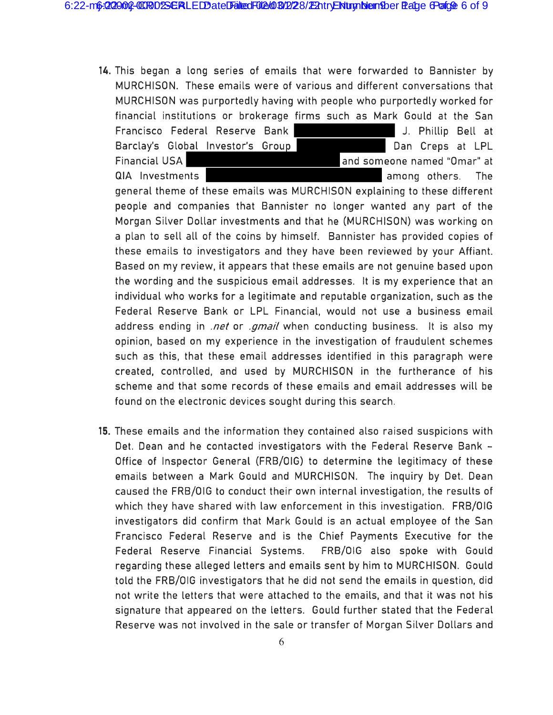**14.** This began a long series of emails that were forwarded to Bannister by MURCHISON. These emails were of various and different conversations that MURCHISON was purportedly having with people who purportedly worked for financial institutions or brokerage firms such as Mark Gould at the San Francisco Federal Reserve Bank Manuel Alexander J. Phillip Bell at Barclay's Global Investor's Group **Band Creps at LPL** Financial USA and someone named "Omar" at QIA Investments and the state of the contract of the contract of the contract of the contract of the contract of the contract of the contract of the contract of the contract of the contract of the contract of the contract

general theme of these emails was MURCHISON explaining to these different people and companies that Bannister no longer wanted any part of the Morgan Silver Dollar investments and that he (MURCHISON) was working on a plan to sell all of the coins by himself. Bannister has provided copies of these emails to investigators and they have been reviewed by your Affiant. Based on my review, it appears that these emails are not genuine based upon the wording and the suspicious email addresses. It is my experience that an individual who works for a legitimate and reputable organization, such as the Federal Reserve Bank or LPL Financial, would not use a business email address ending in *.net* or *.gmail* when conducting business. It is also my opinion, based on my experience in the investigation of fraudulent schemes such as this, that these email addresses identified in this paragraph were created, controlled, and used by MURCHISON in the furtherance of his scheme and that some records of these emails and email addresses will be found on the electronic devices sought during this search.

**15.** These emails and the information they contained also raised suspicions with Det. Dean and he contacted investigators with the Federal Reserve Bank -Office of Inspector General (FRB/OIG) to determine the legitimacy of these emails between a Mark Gould and MURCHISON. The inquiry by Det. Dean caused the FRB/OIG to conduct their own internal investigation, the results of which they have shared with law enforcement in this investigation. FRB/OIG investigators did confirm that Mark Gould is an actual employee of the San Francisco Federal Reserve and is the Chief Payments Executive for the Federal Reserve Financial Systems. FRB/OIG also spoke with Gould regarding these alleged letters and emails sent by him to MURCHISON. Gould told the FRB/OIG investigators that he did not send the emails in question, did not write the letters that were attached to the emails, and that it was not his signature that appeared on the letters. Gould further stated that the Federal Reserve was not involved in the sale or transfer of Morgan Silver Dollars and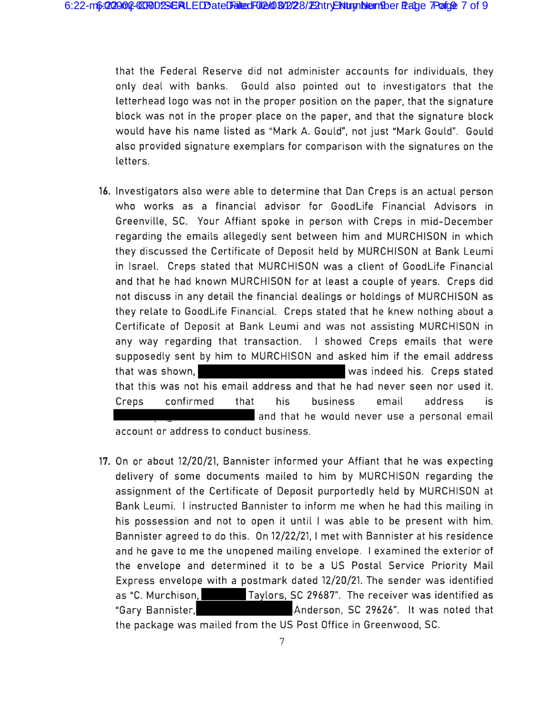that the Federal Reserve did not administer accounts for individuals, they only deal with banks. Gould also pointed out to investigators that the letterhead logo was not in the proper position on the paper, that the signature block was not in the proper place on the paper, and that the signature block would have his name listed as "Mark A. Gould", not just "Mark Gould". Gould also provided signature exemplars for comparison with the signatures on the letters.

- **16.** Investigators also were able to determine that Dan Creps is an actual person who works as a financial advisor for GoodLife Financial Advisors in Greenville, SC. Your Affiant spoke in person with Creps in mid-December regarding the emails allegedly sent between him and MURCHISON in which they discussed the Certificate of Deposit held by MURCHISON at Bank Leumi in Israel. Creps stated that MURCHISON was a client of Goodlife Financial and that he had known MURCHISON for at least a couple of years. Creps did not discuss in any detail the financial dealings or holdings of MURCHISON as they relate to GoodLife. Financial. Creps stated that he knew nothing about a Certificate of Deposit at Bank Leumi and was not assisting MURCHISON in any way regarding that transaction. I showed Creps emails that were supposedly sent by him to MURCHISON and asked him if the email address that was shown, was indeed his. Creps stated that this was not his email address and that he had never seen nor used it. Creps confirmed that his business email address is and that he would never use a personal email account or address to conduct business.
- **17.** On or about 12/20/21, Bannister informed your Affiant that he was expecting delivery of some documents mailed to him by MURCHISON regarding the assignment of the Certificate of Deposit purportedly held by MURCHISON at Bank Leumi. I instructed Bannister to inform me when he had this mailing in his possession and not to open it until I was able to be present with him. Bannister agreed to do this. On 12/22/21, I met with Bannister at his residence and he gave to me the unopened mailing envelope. I examined the exterior of the envelope and determined it to be a US Postal Service Priority Mail Express envelope with a postmark dated 12/20/21. The sender was identified as "C. Murchison, Taylors, SC 29687". The receiver was identified as "Gary Bannister, The State of Anderson, SC 29626". It was noted that the package was mailed from the US Post Office in Greenwood, SC.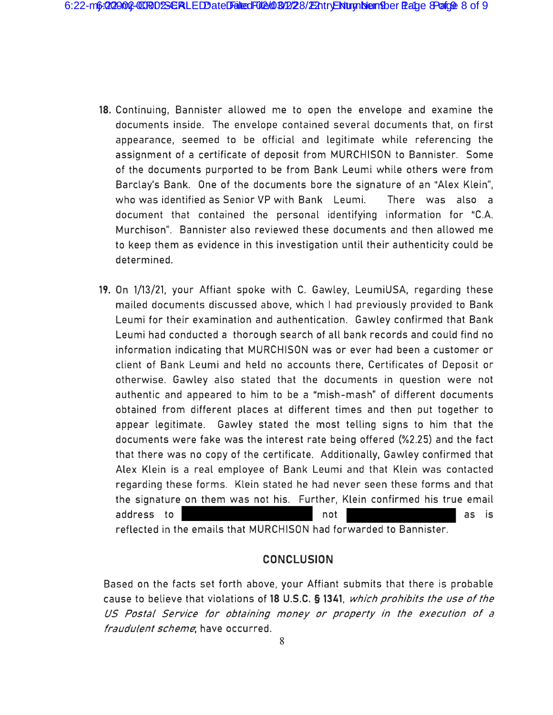- **18.** Continuing, Bannister allowed me to open the envelope and examine the documents inside. The envelope contained several documents that, on first appearance, seemed to be official and legitimate while referencing the assignment of a certificate of deposit from MURCHISON to Bannister. Some of the documents purported to be from Bank Leumi while others were from Barclay's Bank. One of the documents bore the signature of an "Alex Klein", who was identified as Senior VP with Bank Leumi. There was also a document that contained the personal identifying information for "C.A. Murchison". Bannister also reviewed these documents and then allowed me to keep them as evidence in this investigation until their authenticity could be determined.
- **19.** On 1/13/21, your Affiant spoke with C. Gawley, LeumiUSA, regarding these mailed documents discussed above, which I had previously provided to Bank Leumi for their examination and authentication. Gawley confirmed that Bank Leumi had conducted a thorough search of all bank records and could find no information indicating that MURCHISON was or ever had been a customer or client of Bank Leumi and held no accounts there, Certificates of Deposit or otherwise. Gawley also stated that the documents in question were not authentic and appeared to him to be a "mish-mash" of different documents obtained from different places at different times and then put together to appear legitimate. Gawley stated the most telling signs to him that the documents were fake was the interest rate being offered (%2.25) and the fact that there was no copy of the certificate. Additionally, Gawley confirmed that Alex Klein is a real employee of Bank Leumi and that Klein was contacted regarding these forms. Klein stated he had never seen these forms and that the signature on them was not his. Further, Klein confirmed his true email address to the notation of the contract of the contract of the contract of the contract of the contract of the contract of the contract of the contract of the contract of the contract of the contract of the contract of the reflected in the emails that MURCHISON had forwarded to Bannister.

### **CONCLUSION**

Based on the facts set forth above, your Affiant submits that there is probable cause to believe that violations of **18 U.S.C. § 1341,** which prohibits the use of the US Postal Service for obtaining money or property in the execution of a fraudulent scheme, have occurred.